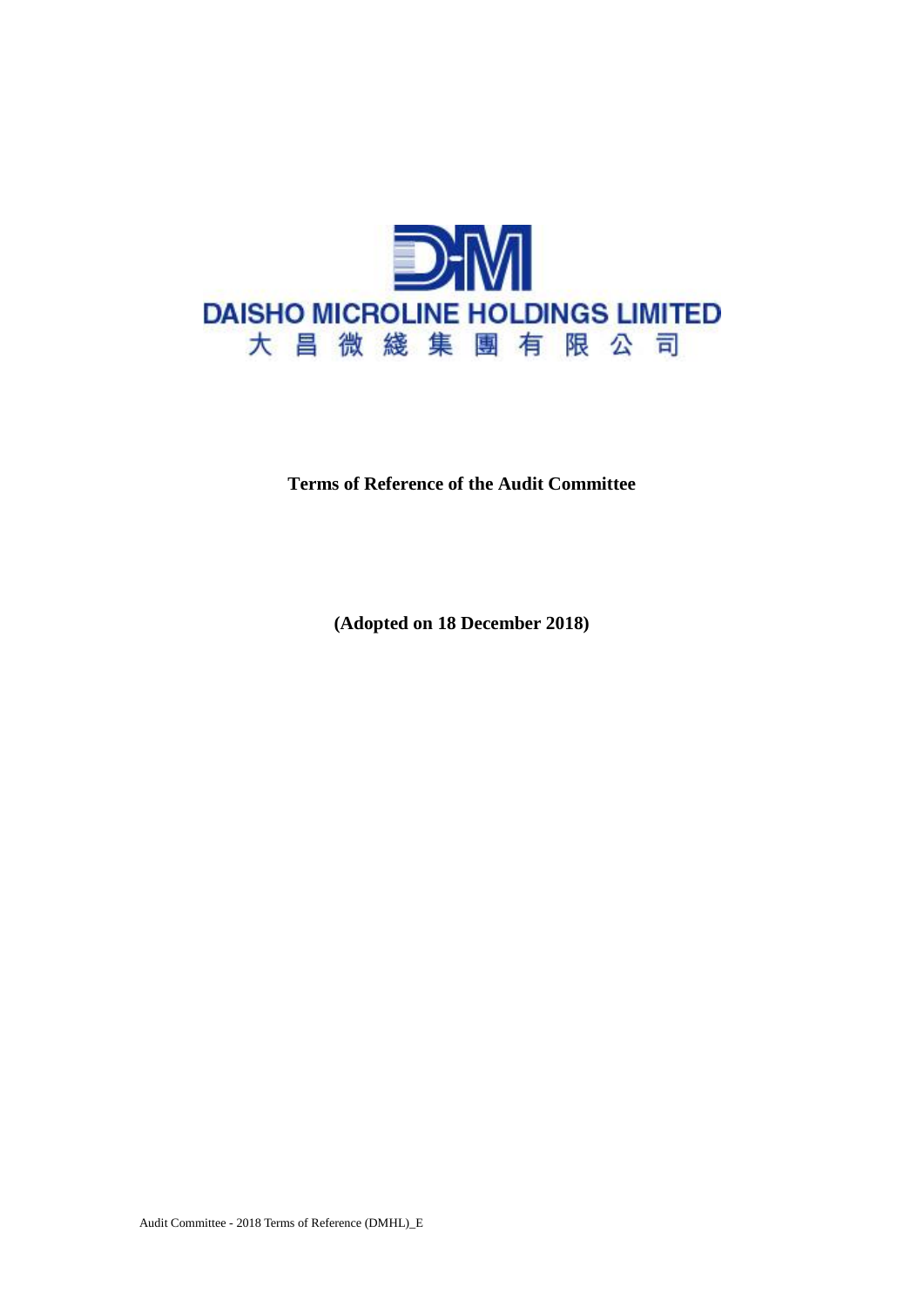

## **Terms of Reference of the Audit Committee**

**(Adopted on 18 December 2018)**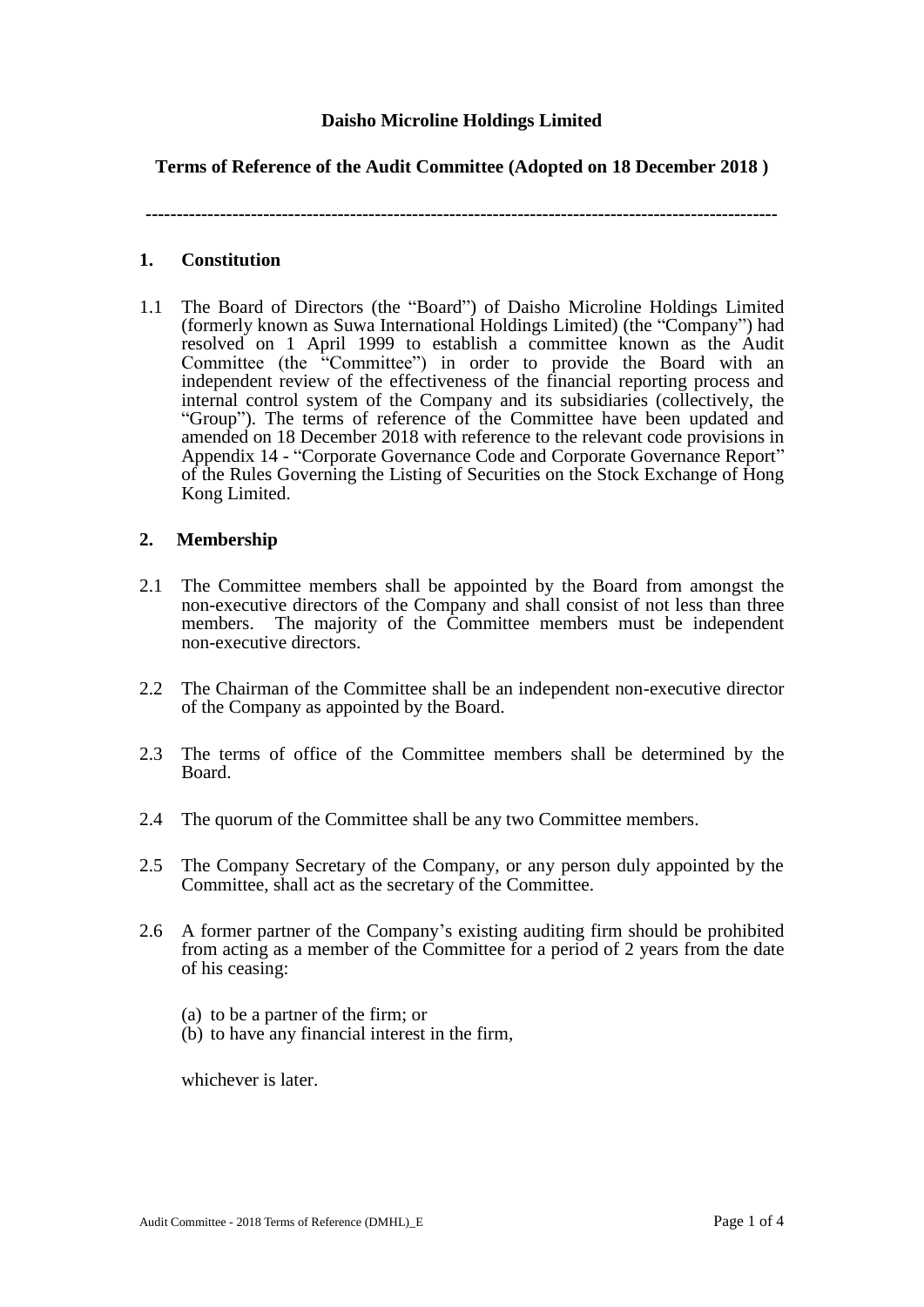## **Daisho Microline Holdings Limited**

# **Terms of Reference of the Audit Committee (Adopted on 18 December 2018 )**

**------------------------------------------------------------------------------------------------------**

#### **1. Constitution**

1.1 The Board of Directors (the "Board") of Daisho Microline Holdings Limited (formerly known as Suwa International Holdings Limited) (the "Company") had resolved on 1 April 1999 to establish a committee known as the Audit Committee (the "Committee") in order to provide the Board with an independent review of the effectiveness of the financial reporting process and internal control system of the Company and its subsidiaries (collectively, the "Group"). The terms of reference of the Committee have been updated and amended on 18 December 2018 with reference to the relevant code provisions in Appendix 14 - "Corporate Governance Code and Corporate Governance Report" of the Rules Governing the Listing of Securities on the Stock Exchange of Hong Kong Limited.

## **2. Membership**

- 2.1 The Committee members shall be appointed by the Board from amongst the non-executive directors of the Company and shall consist of not less than three members. The majority of the Committee members must be independent non-executive directors.
- 2.2 The Chairman of the Committee shall be an independent non-executive director of the Company as appointed by the Board.
- 2.3 The terms of office of the Committee members shall be determined by the Board.
- 2.4 The quorum of the Committee shall be any two Committee members.
- 2.5 The Company Secretary of the Company, or any person duly appointed by the Committee, shall act as the secretary of the Committee.
- 2.6 A former partner of the Company's existing auditing firm should be prohibited from acting as a member of the Committee for a period of 2 years from the date of his ceasing:
	- (a) to be a partner of the firm; or
	- (b) to have any financial interest in the firm,

whichever is later.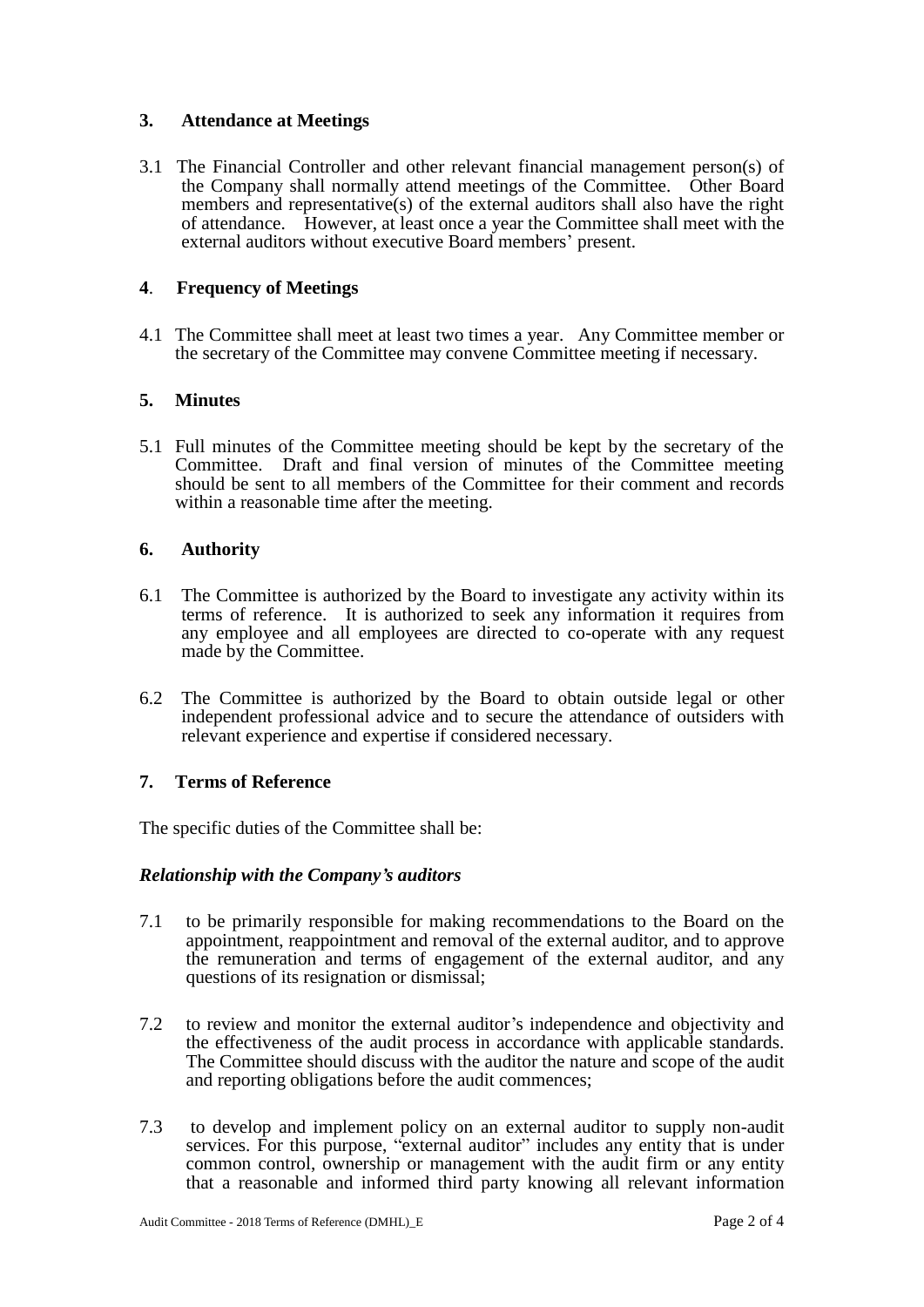# **3. Attendance at Meetings**

3.1 The Financial Controller and other relevant financial management person(s) of the Company shall normally attend meetings of the Committee. Other Board members and representative(s) of the external auditors shall also have the right of attendance. However, at least once a year the Committee shall meet with the external auditors without executive Board members' present.

# **4**. **Frequency of Meetings**

4.1 The Committee shall meet at least two times a year. Any Committee member or the secretary of the Committee may convene Committee meeting if necessary.

## **5. Minutes**

5.1 Full minutes of the Committee meeting should be kept by the secretary of the Committee. Draft and final version of minutes of the Committee meeting should be sent to all members of the Committee for their comment and records within a reasonable time after the meeting.

## **6. Authority**

- 6.1 The Committee is authorized by the Board to investigate any activity within its terms of reference. It is authorized to seek any information it requires from any employee and all employees are directed to co-operate with any request made by the Committee.
- 6.2 The Committee is authorized by the Board to obtain outside legal or other independent professional advice and to secure the attendance of outsiders with relevant experience and expertise if considered necessary.

## **7. Terms of Reference**

The specific duties of the Committee shall be:

#### *Relationship with the Company's auditors*

- 7.1 to be primarily responsible for making recommendations to the Board on the appointment, reappointment and removal of the external auditor, and to approve the remuneration and terms of engagement of the external auditor, and any questions of its resignation or dismissal;
- 7.2 to review and monitor the external auditor's independence and objectivity and the effectiveness of the audit process in accordance with applicable standards. The Committee should discuss with the auditor the nature and scope of the audit and reporting obligations before the audit commences;
- 7.3 to develop and implement policy on an external auditor to supply non-audit services. For this purpose, "external auditor" includes any entity that is under common control, ownership or management with the audit firm or any entity that a reasonable and informed third party knowing all relevant information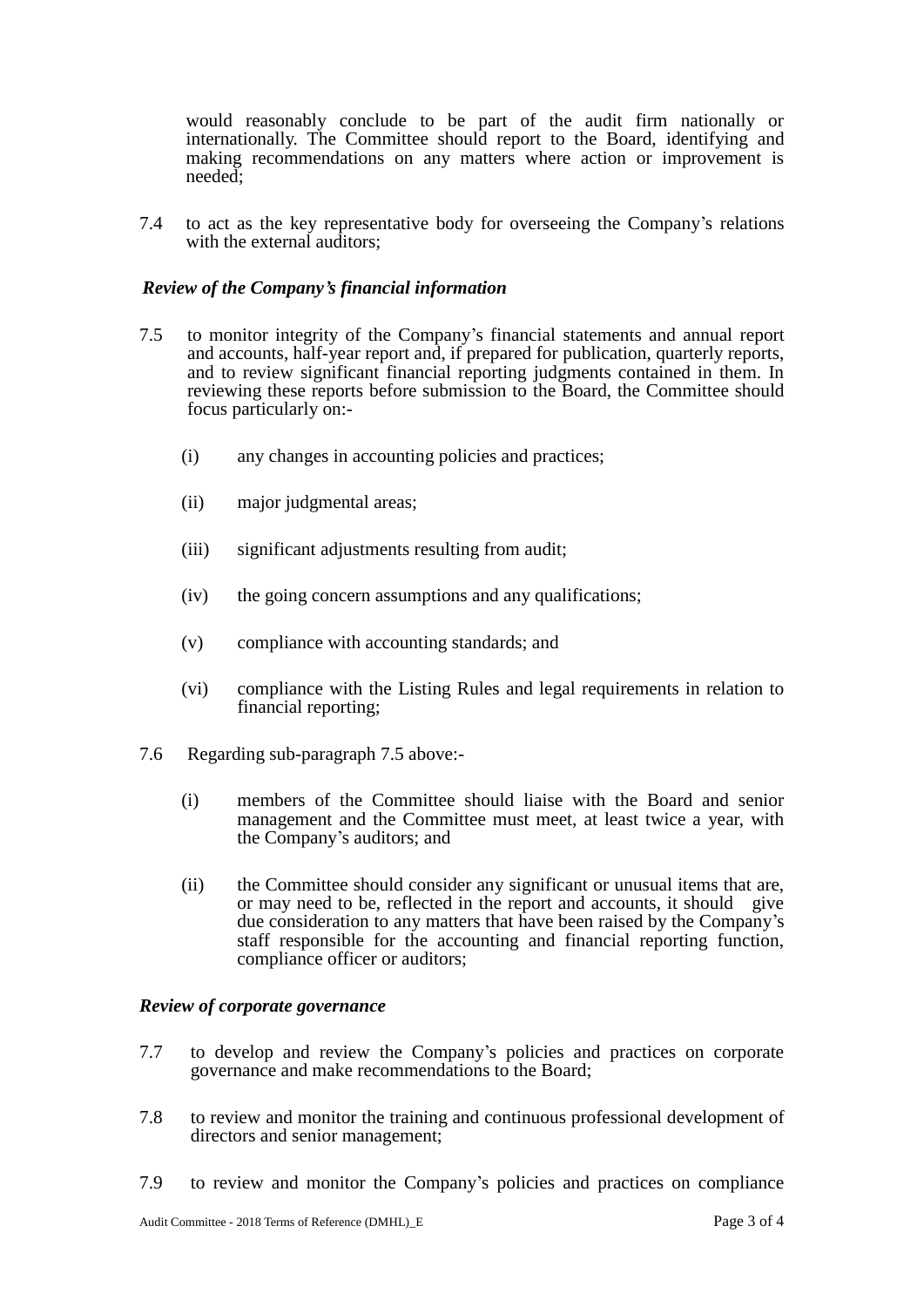would reasonably conclude to be part of the audit firm nationally or internationally. The Committee should report to the Board, identifying and making recommendations on any matters where action or improvement is needed;

7.4 to act as the key representative body for overseeing the Company's relations with the external auditors;

#### *Review of the Company's financial information*

- 7.5 to monitor integrity of the Company's financial statements and annual report and accounts, half-year report and, if prepared for publication, quarterly reports, and to review significant financial reporting judgments contained in them. In reviewing these reports before submission to the Board, the Committee should focus particularly on:-
	- (i) any changes in accounting policies and practices;
	- (ii) major judgmental areas;
	- (iii) significant adjustments resulting from audit;
	- (iv) the going concern assumptions and any qualifications;
	- (v) compliance with accounting standards; and
	- (vi) compliance with the Listing Rules and legal requirements in relation to financial reporting;
- 7.6 Regarding sub-paragraph 7.5 above:-
	- (i) members of the Committee should liaise with the Board and senior management and the Committee must meet, at least twice a year, with the Company's auditors; and
	- (ii) the Committee should consider any significant or unusual items that are, or may need to be, reflected in the report and accounts, it should give due consideration to any matters that have been raised by the Company's staff responsible for the accounting and financial reporting function, compliance officer or auditors;

#### *Review of corporate governance*

- 7.7 to develop and review the Company's policies and practices on corporate governance and make recommendations to the Board;
- 7.8 to review and monitor the training and continuous professional development of directors and senior management;
- 7.9 to review and monitor the Company's policies and practices on compliance